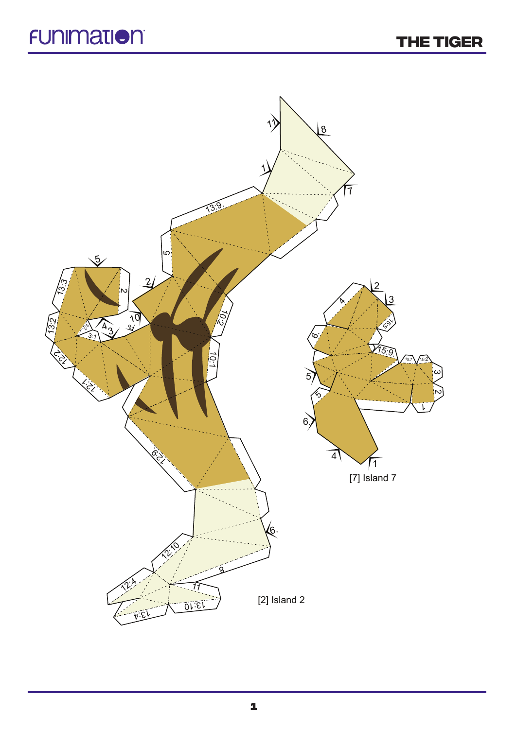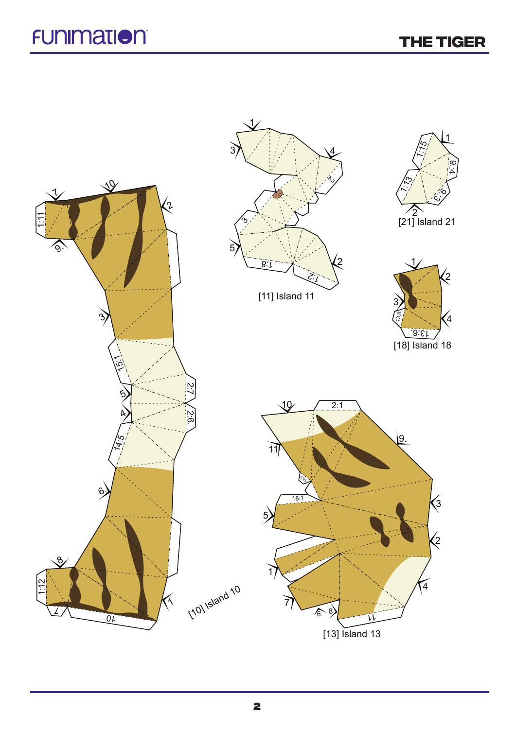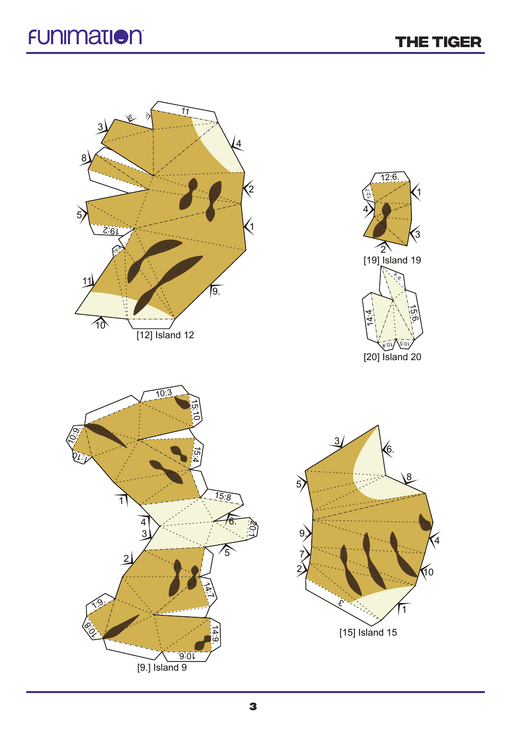## **FUNIMATION**

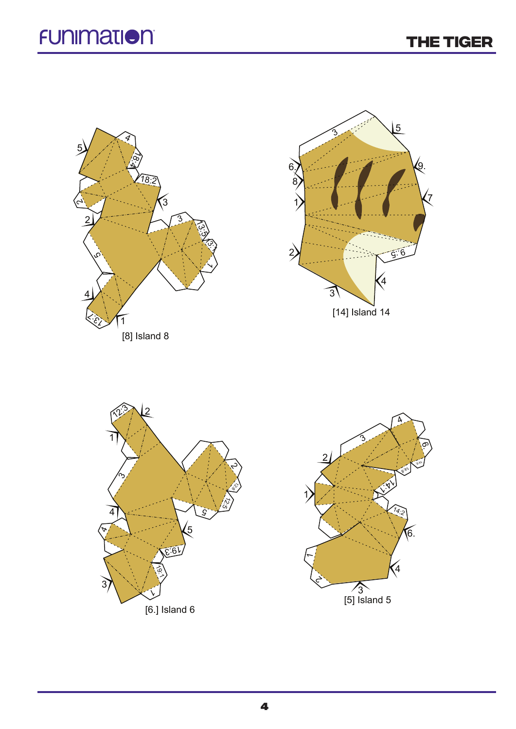## **FUNIMATION**